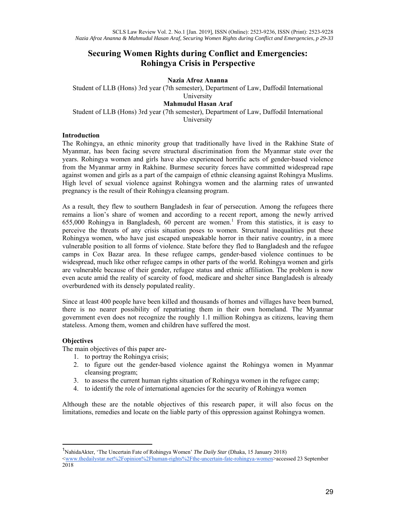# **Securing Women Rights during Conflict and Emergencies: Rohingya Crisis in Perspective**

# **Nazia Afroz Ananna**

Student of LLB (Hons) 3rd year (7th semester), Department of Law, Daffodil International University **Mahmudul Hasan Araf**  Student of LLB (Hons) 3rd year (7th semester), Department of Law, Daffodil International University

## **Introduction**

The Rohingya, an ethnic minority group that traditionally have lived in the Rakhine State of Myanmar, has been facing severe structural discrimination from the Myanmar state over the years. Rohingya women and girls have also experienced horrific acts of gender-based violence from the Myanmar army in Rakhine. Burmese security forces have committed widespread rape against women and girls as a part of the campaign of ethnic cleansing against Rohingya Muslims. High level of sexual violence against Rohingya women and the alarming rates of unwanted pregnancy is the result of their Rohingya cleansing program.

As a result, they flew to southern Bangladesh in fear of persecution. Among the refugees there remains a lion's share of women and according to a recent report, among the newly arrived 655,000 Rohingya in Bangladesh, 60 percent are women.<sup>1</sup> From this statistics, it is easy to perceive the threats of any crisis situation poses to women. Structural inequalities put these Rohingya women, who have just escaped unspeakable horror in their native country, in a more vulnerable position to all forms of violence. State before they fled to Bangladesh and the refugee camps in Cox Bazar area. In these refugee camps, gender-based violence continues to be widespread, much like other refugee camps in other parts of the world. Rohingya women and girls are vulnerable because of their gender, refugee status and ethnic affiliation. The problem is now even acute amid the reality of scarcity of food, medicare and shelter since Bangladesh is already overburdened with its densely populated reality.

Since at least 400 people have been killed and thousands of homes and villages have been burned, there is no nearer possibility of repatriating them in their own homeland. The Myanmar government even does not recognize the roughly 1.1 million Rohingya as citizens, leaving them stateless. Among them, women and children have suffered the most.

## **Objectives**

-

The main objectives of this paper are-

- 1. to portray the Rohingya crisis;
- 2. to figure out the gender-based violence against the Rohingya women in Myanmar cleansing program;
- 3. to assess the current human rights situation of Rohingya women in the refugee camp;
- 4. to identify the role of international agencies for the security of Rohingya women

Although these are the notable objectives of this research paper, it will also focus on the limitations, remedies and locate on the liable party of this oppression against Rohingya women.

<sup>1</sup> NahidaAkter, 'The Uncertain Fate of Rohingya Women' *The Daily Star* (Dhaka, 15 January 2018)

<sup>&</sup>lt;www.thedailystar.net%2Fopinion%2Fhuman-rights%2Fthe-uncertain-fate-rohingya-women>accessed 23 September 2018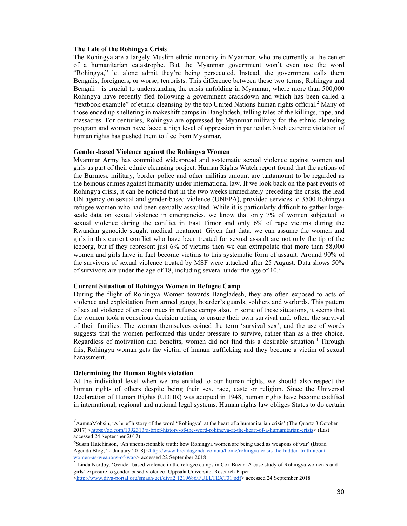### **The Tale of the Rohingya Crisis**

The Rohingya are a largely Muslim ethnic minority in Myanmar, who are currently at the center of a humanitarian catastrophe. But the Myanmar government won't even use the word "Rohingya," let alone admit they're being persecuted. Instead, the government calls them Bengalis, foreigners, or worse, terrorists. This difference between these two terms; Rohingya and Bengali—is crucial to understanding the crisis unfolding in Myanmar, where more than 500,000 Rohingya have recently fled following a government crackdown and which has been called a "textbook example" of ethnic cleansing by the top United Nations human rights official.<sup>2</sup> Many of those ended up sheltering in makeshift camps in Bangladesh, telling tales of the killings, rape, and massacres. For centuries, Rohingya are oppressed by Myanmar military for the ethnic cleansing program and women have faced a high level of oppression in particular. Such extreme violation of human rights has pushed them to flee from Myanmar.

#### **Gender-based Violence against the Rohingya Women**

Myanmar Army has committed widespread and systematic sexual violence against women and girls as part of their ethnic cleansing project. Human Rights Watch report found that the actions of the Burmese military, border police and other militias amount are tantamount to be regarded as the heinous crimes against humanity under international law. If we look back on the past events of Rohingya crisis, it can be noticed that in the two weeks immediately preceding the crisis, the lead UN agency on sexual and gender-based violence (UNFPA), provided services to 3500 Rohingya refugee women who had been sexually assaulted. While it is particularly difficult to gather largescale data on sexual violence in emergencies, we know that only 7% of women subjected to sexual violence during the conflict in East Timor and only 6% of rape victims during the Rwandan genocide sought medical treatment. Given that data, we can assume the women and girls in this current conflict who have been treated for sexual assault are not only the tip of the iceberg, but if they represent just 6% of victims then we can extrapolate that more than 58,000 women and girls have in fact become victims to this systematic form of assault. Around 90% of the survivors of sexual violence treated by MSF were attacked after 25 August. Data shows 50% of survivors are under the age of 18, including several under the age of  $10<sup>3</sup>$ 

#### **Current Situation of Rohingya Women in Refugee Camp**

During the flight of Rohingya Women towards Bangladesh, they are often exposed to acts of violence and exploitation from armed gangs, boarder's guards, soldiers and warlords. This pattern of sexual violence often continues in refugee camps also. In some of these situations, it seems that the women took a conscious decision acting to ensure their own survival and, often, the survival of their families. The women themselves coined the term 'survival sex', and the use of words suggests that the women performed this under pressure to survive, rather than as a free choice. Regardless of motivation and benefits, women did not find this a desirable situation.<sup>4</sup> Through this, Rohingya woman gets the victim of human trafficking and they become a victim of sexual harassment.

### **Determining the Human Rights violation**

 $\overline{a}$ 

At the individual level when we are entitled to our human rights, we should also respect the human rights of others despite being their sex, race, caste or religion. Since the Universal Declaration of Human Rights (UDHR) was adopted in 1948, human rights have become codified in international, regional and national legal systems. Human rights law obliges States to do certain

<sup>&</sup>lt;sup>2</sup>AamnaMohsin, 'A brief history of the word "Rohingya" at the heart of a humanitarian crisis' (The Quartz 3 October 2017) <https://qz.com/1092313/a-brief-history-of-the-word-rohingya-at-the-heart-of-a-humanitarian-crisis> (Last accessed 24 September 2017)

<sup>&</sup>lt;sup>3</sup>Susan Hutchinson, 'An unconscionable truth: how Rohingya women are being used as weapons of war' (Broad Agenda Blog, 22 January 2018) <http://www.broadagenda.com.au/home/rohingya-crisis-the-hidden-truth-aboutwomen-as-weapons-of-war/> accessed 22 September 2018

<sup>&</sup>lt;sup>4</sup> Linda Nordby, 'Gender-based violence in the refugee camps in Cox Bazar -A case study of Rohingya women's and girls' exposure to gender-based violence' Uppsala Universitet Research Paper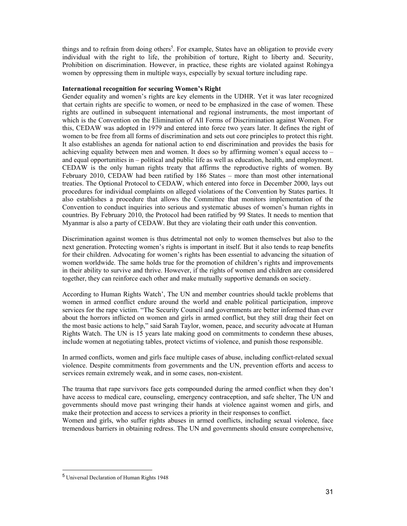things and to refrain from doing others<sup>5</sup>. For example, States have an obligation to provide every individual with the right to life, the prohibition of torture, Right to liberty and. Security, Prohibition on discrimination. However, in practice, these rights are violated against Rohingya women by oppressing them in multiple ways, especially by sexual torture including rape.

#### **International recognition for securing Women's Right**

Gender equality and women's rights are key elements in the UDHR. Yet it was later recognized that certain rights are specific to women, or need to be emphasized in the case of women. These rights are outlined in subsequent international and regional instruments, the most important of which is the Convention on the Elimination of All Forms of Discrimination against Women. For this, CEDAW was adopted in 1979 and entered into force two years later. It defines the right of women to be free from all forms of discrimination and sets out core principles to protect this right. It also establishes an agenda for national action to end discrimination and provides the basis for achieving equality between men and women. It does so by affirming women's equal access to  $$ and equal opportunities in – political and public life as well as education, health, and employment. CEDAW is the only human rights treaty that affirms the reproductive rights of women. By February 2010, CEDAW had been ratified by 186 States – more than most other international treaties. The Optional Protocol to CEDAW, which entered into force in December 2000, lays out procedures for individual complaints on alleged violations of the Convention by States parties. It also establishes a procedure that allows the Committee that monitors implementation of the Convention to conduct inquiries into serious and systematic abuses of women's human rights in countries. By February 2010, the Protocol had been ratified by 99 States. It needs to mention that Myanmar is also a party of CEDAW. But they are violating their oath under this convention.

Discrimination against women is thus detrimental not only to women themselves but also to the next generation. Protecting women's rights is important in itself. But it also tends to reap benefits for their children. Advocating for women's rights has been essential to advancing the situation of women worldwide. The same holds true for the promotion of children's rights and improvements in their ability to survive and thrive. However, if the rights of women and children are considered together, they can reinforce each other and make mutually supportive demands on society.

According to Human Rights Watch', The UN and member countries should tackle problems that women in armed conflict endure around the world and enable political participation, improve services for the rape victim. "The Security Council and governments are better informed than ever about the horrors inflicted on women and girls in armed conflict, but they still drag their feet on the most basic actions to help," said Sarah Taylor, women, peace, and security advocate at Human Rights Watch. The UN is 15 years late making good on commitments to condemn these abuses, include women at negotiating tables, protect victims of violence, and punish those responsible.

In armed conflicts, women and girls face multiple cases of abuse, including conflict-related sexual violence. Despite commitments from governments and the UN, prevention efforts and access to services remain extremely weak, and in some cases, non-existent.

The trauma that rape survivors face gets compounded during the armed conflict when they don't have access to medical care, counseling, emergency contraception, and safe shelter, The UN and governments should move past wringing their hands at violence against women and girls, and make their protection and access to services a priority in their responses to conflict.

Women and girls, who suffer rights abuses in armed conflicts, including sexual violence, face tremendous barriers in obtaining redress. The UN and governments should ensure comprehensive,

-

<sup>5</sup> Universal Declaration of Human Rights 1948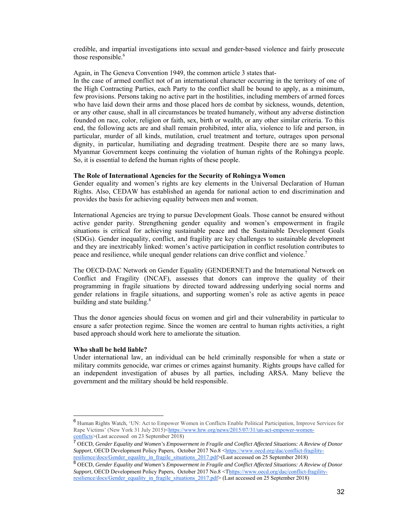credible, and impartial investigations into sexual and gender-based violence and fairly prosecute those responsible.<sup>6</sup>

Again, in The Geneva Convention 1949, the common article 3 states that-

In the case of armed conflict not of an international character occurring in the territory of one of the High Contracting Parties, each Party to the conflict shall be bound to apply, as a minimum, few provisions. Persons taking no active part in the hostilities, including members of armed forces who have laid down their arms and those placed hors de combat by sickness, wounds, detention, or any other cause, shall in all circumstances be treated humanely, without any adverse distinction founded on race, color, religion or faith, sex, birth or wealth, or any other similar criteria. To this end, the following acts are and shall remain prohibited, inter alia, violence to life and person, in particular, murder of all kinds, mutilation, cruel treatment and torture, outrages upon personal dignity, in particular, humiliating and degrading treatment. Despite there are so many laws, Myanmar Government keeps continuing the violation of human rights of the Rohingya people. So, it is essential to defend the human rights of these people.

## **The Role of International Agencies for the Security of Rohingya Women**

Gender equality and women's rights are key elements in the Universal Declaration of Human Rights. Also, CEDAW has established an agenda for national action to end discrimination and provides the basis for achieving equality between men and women.

International Agencies are trying to pursue Development Goals. Those cannot be ensured without active gender parity. Strengthening gender equality and women's empowerment in fragile situations is critical for achieving sustainable peace and the Sustainable Development Goals (SDGs). Gender inequality, conflict, and fragility are key challenges to sustainable development and they are inextricably linked: women's active participation in conflict resolution contributes to peace and resilience, while unequal gender relations can drive conflict and violence.<sup>7</sup>

The OECD-DAC Network on Gender Equality (GENDERNET) and the International Network on Conflict and Fragility (INCAF), assesses that donors can improve the quality of their programming in fragile situations by directed toward addressing underlying social norms and gender relations in fragile situations, and supporting women's role as active agents in peace building and state building.<sup>8</sup>

Thus the donor agencies should focus on women and girl and their vulnerability in particular to ensure a safer protection regime. Since the women are central to human rights activities, a right based approach should work here to ameliorate the situation.

#### **Who shall be held liable?**

 $\overline{a}$ 

Under international law, an individual can be held criminally responsible for when a state or military commits genocide, war crimes or crimes against humanity. Rights groups have called for an independent investigation of abuses by all parties, including ARSA. Many believe the government and the military should be held responsible.

<sup>6</sup> Human Rights Watch, 'UN: Act to Empower Women in Conflicts Enable Political Participation, Improve Services for Rape Victims' (New York 31 July 2015)<https://www.hrw.org/news/2015/07/31/un-act-empower-womenconflicts>(Last accessed on 23 September 2018)

<sup>7</sup> OECD, *Gender Equality and Women's Empowerment in Fragile and Conflict Affected Situations: A Review of Donor Support*, OECD Development Policy Papers, October 2017 No.8 <https://www.oecd.org/dac/conflict-fragilityresilience/docs/Gender\_equality\_in\_fragile\_situations\_2017.pdf>(Last accessed on 25 September 2018)

<sup>8</sup> OECD, *Gender Equality and Women's Empowerment in Fragile and Conflict Affected Situations: A Review of Donor Support*, OECD Development Policy Papers, October 2017 No.8 <Thttps://www.oecd.org/dac/conflict-fragilityresilience/docs/Gender\_equality\_in\_fragile\_situations\_2017.pdf> (Last accessed on 25 September 2018)